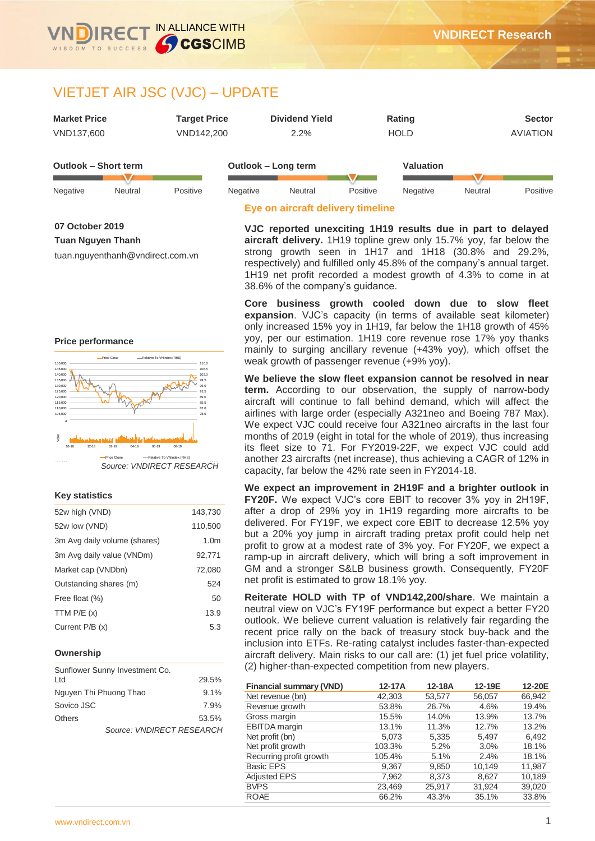

# VIETJET AIR JSC (VJC) – UPDATE

| <b>Market Price</b> | Tarqet Price | <b>Dividend Yield</b> | Rating      | <b>Sector</b> |
|---------------------|--------------|-----------------------|-------------|---------------|
| VND137.600          | VND142.200   | $2.2\%$               | <b>HOLD</b> | AVIATION      |

| Outlook – Short term |         | Outlook – Long term |          |         | Valuation |          |         |          |  |
|----------------------|---------|---------------------|----------|---------|-----------|----------|---------|----------|--|
| Negative             | Neutral | Positive            | Negative | Neutral | Positive  | Negative | Neutral | Positive |  |
|                      |         |                     |          | .       | _____     |          |         |          |  |

#### **07 October 2019**

۰

**Tuan Nguyen Thanh**

tuan.nguyenthanh@vndirect.com.vn

#### **Price performance**



#### **Key statistics**

| 52w high (VND)               | 143,730          |
|------------------------------|------------------|
| 52w low (VND)                | 110,500          |
| 3m Avg daily volume (shares) | 1.0 <sub>m</sub> |
| 3m Avg daily value (VNDm)    | 92,771           |
| Market cap (VNDbn)           | 72,080           |
| Outstanding shares (m)       | 524              |
| Free float (%)               | 50               |
| TTM $P/E(x)$                 | 13.9             |
| Current P/B (x)              | 5.3              |

#### **Ownership**

| Sunflower Sunny Investment Co. |         |
|--------------------------------|---------|
| Ltd                            | 29.5%   |
| Nguyen Thi Phuong Thao         | $9.1\%$ |
| Sovico JSC                     | 7.9%    |
| <b>Others</b>                  | 53.5%   |
| Source: VNDIRECT RESEARCH      |         |

# **Eye on aircraft delivery timeline**

**VJC reported unexciting 1H19 results due in part to delayed aircraft delivery.** 1H19 topline grew only 15.7% yoy, far below the strong growth seen in 1H17 and 1H18 (30.8% and 29.2%, respectively) and fulfilled only 45.8% of the company's annual target. 1H19 net profit recorded a modest growth of 4.3% to come in at 38.6% of the company's guidance.

**Core business growth cooled down due to slow fleet expansion**. VJC's capacity (in terms of available seat kilometer) only increased 15% yoy in 1H19, far below the 1H18 growth of 45% yoy, per our estimation. 1H19 core revenue rose 17% yoy thanks mainly to surging ancillary revenue (+43% yoy), which offset the weak growth of passenger revenue (+9% yoy).

**We believe the slow fleet expansion cannot be resolved in near term.** According to our observation, the supply of narrow-body aircraft will continue to fall behind demand, which will affect the airlines with large order (especially A321neo and Boeing 787 Max). We expect VJC could receive four A321neo aircrafts in the last four months of 2019 (eight in total for the whole of 2019), thus increasing its fleet size to 71. For FY2019-22F, we expect VJC could add another 23 aircrafts (net increase), thus achieving a CAGR of 12% in capacity, far below the 42% rate seen in FY2014-18.

**We expect an improvement in 2H19F and a brighter outlook in FY20F.** We expect VJC's core EBIT to recover 3% yoy in 2H19F, after a drop of 29% yoy in 1H19 regarding more aircrafts to be delivered. For FY19F, we expect core EBIT to decrease 12.5% yoy but a 20% yoy jump in aircraft trading pretax profit could help net profit to grow at a modest rate of 3% yoy. For FY20F, we expect a ramp-up in aircraft delivery, which will bring a soft improvement in GM and a stronger S&LB business growth. Consequently, FY20F net profit is estimated to grow 18.1% yoy.

**Reiterate HOLD with TP of VND142,200/share**. We maintain a neutral view on VJC's FY19F performance but expect a better FY20 outlook. We believe current valuation is relatively fair regarding the recent price rally on the back of treasury stock buy-back and the inclusion into ETFs. Re-rating catalyst includes faster-than-expected aircraft delivery. Main risks to our call are: (1) jet fuel price volatility, (2) higher-than-expected competition from new players.

| <b>Financial summary (VND)</b> | 12-17A | 12-18A | 12-19E | 12-20E |
|--------------------------------|--------|--------|--------|--------|
| Net revenue (bn)               | 42,303 | 53,577 | 56,057 | 66,942 |
| Revenue growth                 | 53.8%  | 26.7%  | 4.6%   | 19.4%  |
| Gross margin                   | 15.5%  | 14.0%  | 13.9%  | 13.7%  |
| <b>EBITDA</b> margin           | 13.1%  | 11.3%  | 12.7%  | 13.2%  |
| Net profit (bn)                | 5,073  | 5,335  | 5,497  | 6,492  |
| Net profit growth              | 103.3% | 5.2%   | 3.0%   | 18.1%  |
| Recurring profit growth        | 105.4% | 5.1%   | 2.4%   | 18.1%  |
| <b>Basic EPS</b>               | 9.367  | 9.850  | 10.149 | 11.987 |
| <b>Adjusted EPS</b>            | 7,962  | 8.373  | 8.627  | 10,189 |
| <b>BVPS</b>                    | 23,469 | 25,917 | 31,924 | 39,020 |
| <b>ROAE</b>                    | 66.2%  | 43.3%  | 35.1%  | 33.8%  |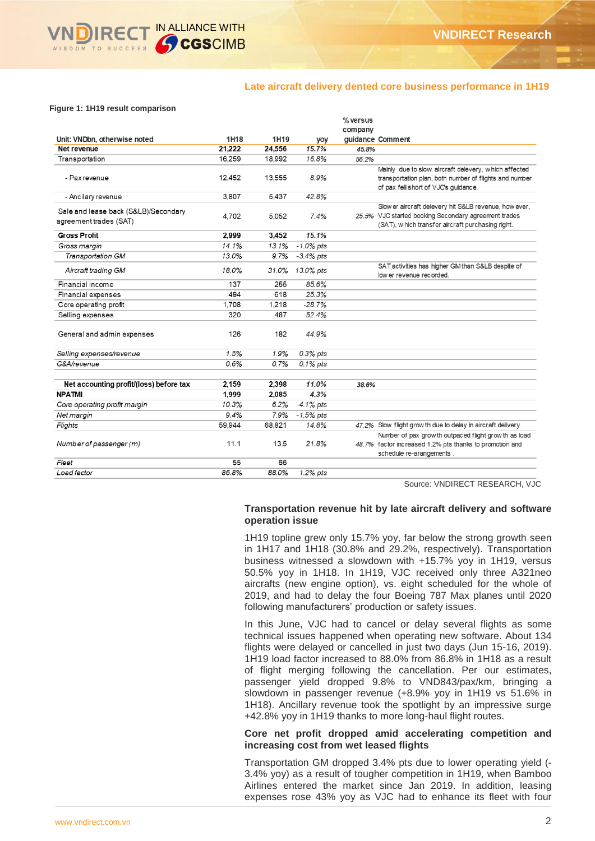# **Late aircraft delivery dented core business performance in 1H19**

#### **Figure 1: 1H19 result comparison**

|                                         |        |        |              | $%$ versus |                                                              |
|-----------------------------------------|--------|--------|--------------|------------|--------------------------------------------------------------|
|                                         |        |        |              | company    |                                                              |
| Unit: VNDbn, otherwise noted            | 1H18   | 1H19   | yoy          |            | guidance Comment                                             |
| Net revenue                             | 21.222 | 24,556 | 15.7%        | 45.8%      |                                                              |
| Transportation                          | 16.259 | 18.992 | 16.8%        | 56.2%      |                                                              |
|                                         |        |        |              |            | Mainly due to slow aircraft delevery, which affected         |
| - Pax revenue                           | 12.452 | 13.555 | 8.9%         |            | transportation plan, both number of flights and number       |
|                                         |        |        |              |            | of pax fell short of VJC's guidance.                         |
| - Ancilary revenue                      | 3,807  | 5.437  | 42.8%        |            |                                                              |
| Sale and lease back (S&LB)/Secondary    |        |        |              |            | Slow er aircraft delevery hit S&LB revenue, how ever,        |
| agreement trades (SAT)                  | 4.702  | 5.052  | 7.4%         |            | 25.5% VJC started booking Secondary agreement trades         |
|                                         |        |        |              |            | (SAT), which transfer aircraft purchasing right.             |
| <b>Gross Profit</b>                     | 2,999  | 3,452  | 15.1%        |            |                                                              |
| Gross margin                            | 14.1%  | 13.1%  | $-1.0\%$ pts |            |                                                              |
| <b>Transportation GM</b>                | 13.0%  | 9.7%   | $-3.4\%$ pts |            |                                                              |
| Aircraft trading GM                     | 18.0%  | 31.0%  | 13.0% pts    |            | SAT activities has higher GM than S&LB despite of            |
|                                         |        |        |              |            | low er revenue recorded.                                     |
| Financial income                        | 137    | 255    | 85.6%        |            |                                                              |
| Financial expenses                      | 494    | 618    | 25.3%        |            |                                                              |
| Core operating profit                   | 1,708  | 1,218  | $-28.7%$     |            |                                                              |
| Selling expenses                        | 320    | 487    | 52.4%        |            |                                                              |
| General and admin expenses              | 126    | 182    | 44.9%        |            |                                                              |
| Selling expenses/revenue                | 1.5%   | 1.9%   | 0.3% pts     |            |                                                              |
| G&A/revenue                             | 0.6%   | 0.7%   | $0.1\%$ pts  |            |                                                              |
|                                         |        |        |              |            |                                                              |
| Net accounting profit/(loss) before tax | 2,159  | 2,398  | 11.0%        | 38.6%      |                                                              |
| <b>NPATMI</b>                           | 1.999  | 2,085  | 4.3%         |            |                                                              |
| Core operating profit margin            | 10.3%  | 6.2%   | $-4.1\%$ pts |            |                                                              |
| Net margin                              | 9.4%   | 7.9%   | $-1.5\%$ pts |            |                                                              |
| Flights                                 | 59,944 | 68,821 | 14.8%        |            | 47.2% Slow flight grow th due to delay in aircraft delivery. |
|                                         |        |        |              |            | Number of pax growth outpaced flight grow th as load         |
| Number of passenger (m)                 | 11.1   | 13.5   | 21.8%        |            | 48.7% factor increased 1.2% pts thanks to promotion and      |
|                                         |        |        |              |            | schedule re-arangements.                                     |
| Fleet                                   | 55     | 66     |              |            |                                                              |
| Load factor                             | 86.8%  | 88.0%  | 1.2% pts     |            |                                                              |

Source: VNDIRECT RESEARCH, VJC

### **Transportation revenue hit by late aircraft delivery and software operation issue**

1H19 topline grew only 15.7% yoy, far below the strong growth seen in 1H17 and 1H18 (30.8% and 29.2%, respectively). Transportation business witnessed a slowdown with +15.7% yoy in 1H19, versus 50.5% yoy in 1H18. In 1H19, VJC received only three A321neo aircrafts (new engine option), vs. eight scheduled for the whole of 2019, and had to delay the four Boeing 787 Max planes until 2020 following manufacturers' production or safety issues.

In this June, VJC had to cancel or delay several flights as some technical issues happened when operating new software. About 134 flights were delayed or cancelled in just two days (Jun 15-16, 2019). 1H19 load factor increased to 88.0% from 86.8% in 1H18 as a result of flight merging following the cancellation. Per our estimates, passenger yield dropped 9.8% to VND843/pax/km, bringing a slowdown in passenger revenue (+8.9% yoy in 1H19 vs 51.6% in 1H18). Ancillary revenue took the spotlight by an impressive surge +42.8% yoy in 1H19 thanks to more long-haul flight routes.

### **Core net profit dropped amid accelerating competition and increasing cost from wet leased flights**

Transportation GM dropped 3.4% pts due to lower operating yield (- 3.4% yoy) as a result of tougher competition in 1H19, when Bamboo Airlines entered the market since Jan 2019. In addition, leasing expenses rose 43% yoy as VJC had to enhance its fleet with four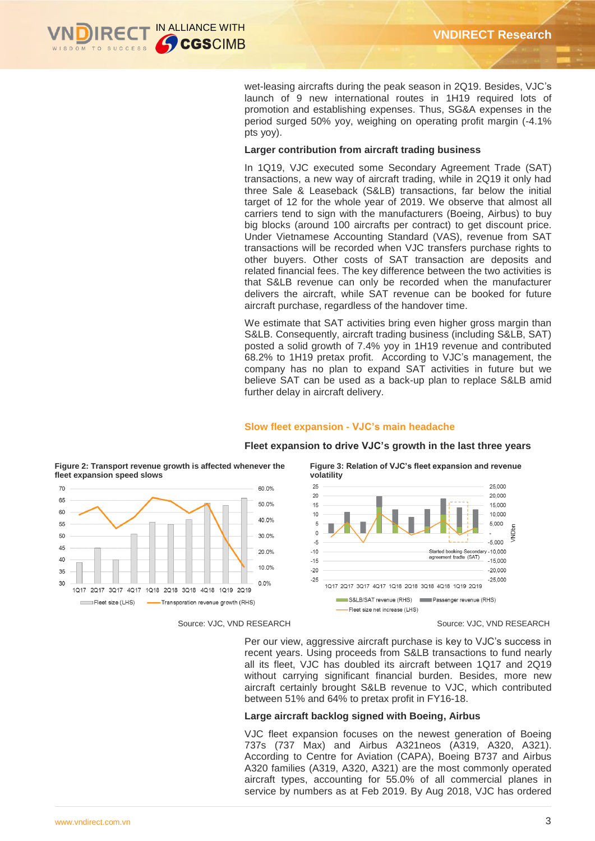

wet-leasing aircrafts during the peak season in 2Q19. Besides, VJC's launch of 9 new international routes in 1H19 required lots of promotion and establishing expenses. Thus, SG&A expenses in the period surged 50% yoy, weighing on operating profit margin (-4.1% pts yoy).

#### **Larger contribution from aircraft trading business**

In 1Q19, VJC executed some Secondary Agreement Trade (SAT) transactions, a new way of aircraft trading, while in 2Q19 it only had three Sale & Leaseback (S&LB) transactions, far below the initial target of 12 for the whole year of 2019. We observe that almost all carriers tend to sign with the manufacturers (Boeing, Airbus) to buy big blocks (around 100 aircrafts per contract) to get discount price. Under Vietnamese Accounting Standard (VAS), revenue from SAT transactions will be recorded when VJC transfers purchase rights to other buyers. Other costs of SAT transaction are deposits and related financial fees. The key difference between the two activities is that S&LB revenue can only be recorded when the manufacturer delivers the aircraft, while SAT revenue can be booked for future aircraft purchase, regardless of the handover time.

We estimate that SAT activities bring even higher gross margin than S&LB. Consequently, aircraft trading business (including S&LB, SAT) posted a solid growth of 7.4% yoy in 1H19 revenue and contributed 68.2% to 1H19 pretax profit. According to VJC's management, the company has no plan to expand SAT activities in future but we believe SAT can be used as a back-up plan to replace S&LB amid further delay in aircraft delivery.

#### **Slow fleet expansion - VJC's main headache**

#### **volatility**  $25$ 25,000 60.0%  $20$ 20,000 50.0% 15 15.000  $10$ 10,000 40.0%  $\mathbf{r}$  $5.000$  $\Omega$ 30.0%  $-5.000$  $-5$ 20.0%  $-10$ Started booking Secondary -10,000<br>agreement tradte (SAT)  $-15$  $-15.000$ 10.0%  $-20$  $-20000$  $-25$  $-25,000$  $0.0%$ 1017 2017 3017 4017 1018 2018 3018 4018 1019 2019 S&LB/SAT revenue (RHS) Passenger revenue (RHS) Transporation revenue growth (RHS) - Fleet size net increase (LHS)

# **Fleet expansion to drive VJC's growth in the last three years**

**Figure 3: Relation of VJC's fleet expansion and revenue** 

 $\overline{5}$ 

Per our view, aggressive aircraft purchase is key to VJC's success in recent years. Using proceeds from S&LB transactions to fund nearly all its fleet, VJC has doubled its aircraft between 1Q17 and 2Q19 without carrying significant financial burden. Besides, more new aircraft certainly brought S&LB revenue to VJC, which contributed between 51% and 64% to pretax profit in FY16-18.

### **Large aircraft backlog signed with Boeing, Airbus**

VJC fleet expansion focuses on the newest generation of Boeing 737s (737 Max) and Airbus A321neos (A319, A320, A321). According to Centre for Aviation (CAPA), Boeing B737 and Airbus A320 families (A319, A320, A321) are the most commonly operated aircraft types, accounting for 55.0% of all commercial planes in service by numbers as at Feb 2019. By Aug 2018, VJC has ordered

**Figure 2: Transport revenue growth is affected whenever the fleet expansion speed slows**



#### Source: VJC, VND RESEARCH Source: VJC, VND RESEARCH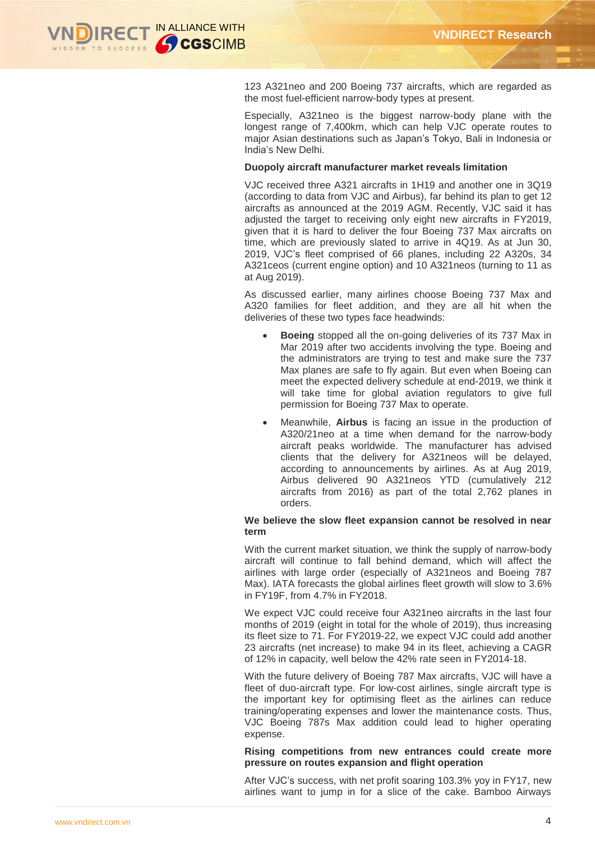

123 A321neo and 200 Boeing 737 aircrafts, which are regarded as the most fuel-efficient narrow-body types at present.

Especially, A321neo is the biggest narrow-body plane with the longest range of 7,400km, which can help VJC operate routes to major Asian destinations such as Japan's Tokyo, Bali in Indonesia or India's New Delhi.

#### **Duopoly aircraft manufacturer market reveals limitation**

VJC received three A321 aircrafts in 1H19 and another one in 3Q19 (according to data from VJC and Airbus), far behind its plan to get 12 aircrafts as announced at the 2019 AGM. Recently, VJC said it has adjusted the target to receiving only eight new aircrafts in FY2019, given that it is hard to deliver the four Boeing 737 Max aircrafts on time, which are previously slated to arrive in 4Q19. As at Jun 30, 2019, VJC's fleet comprised of 66 planes, including 22 A320s, 34 A321ceos (current engine option) and 10 A321neos (turning to 11 as at Aug 2019).

As discussed earlier, many airlines choose Boeing 737 Max and A320 families for fleet addition, and they are all hit when the deliveries of these two types face headwinds:

- **Boeing** stopped all the on-going deliveries of its 737 Max in Mar 2019 after two accidents involving the type. Boeing and the administrators are trying to test and make sure the 737 Max planes are safe to fly again. But even when Boeing can meet the expected delivery schedule at end-2019, we think it will take time for global aviation regulators to give full permission for Boeing 737 Max to operate.
- Meanwhile, **Airbus** is facing an issue in the production of A320/21neo at a time when demand for the narrow-body aircraft peaks worldwide. The manufacturer has advised clients that the delivery for A321neos will be delayed, according to announcements by airlines. As at Aug 2019, Airbus delivered 90 A321neos YTD (cumulatively 212 aircrafts from 2016) as part of the total 2,762 planes in orders.

### **We believe the slow fleet expansion cannot be resolved in near term**

With the current market situation, we think the supply of narrow-body aircraft will continue to fall behind demand, which will affect the airlines with large order (especially of A321neos and Boeing 787 Max). IATA forecasts the global airlines fleet growth will slow to 3.6% in FY19F, from 4.7% in FY2018.

We expect VJC could receive four A321neo aircrafts in the last four months of 2019 (eight in total for the whole of 2019), thus increasing its fleet size to 71. For FY2019-22, we expect VJC could add another 23 aircrafts (net increase) to make 94 in its fleet, achieving a CAGR of 12% in capacity, well below the 42% rate seen in FY2014-18.

With the future delivery of Boeing 787 Max aircrafts, VJC will have a fleet of duo-aircraft type. For low-cost airlines, single aircraft type is the important key for optimising fleet as the airlines can reduce training/operating expenses and lower the maintenance costs. Thus, VJC Boeing 787s Max addition could lead to higher operating expense.

#### **Rising competitions from new entrances could create more pressure on routes expansion and flight operation**

After VJC's success, with net profit soaring 103.3% yoy in FY17, new airlines want to jump in for a slice of the cake. Bamboo Airways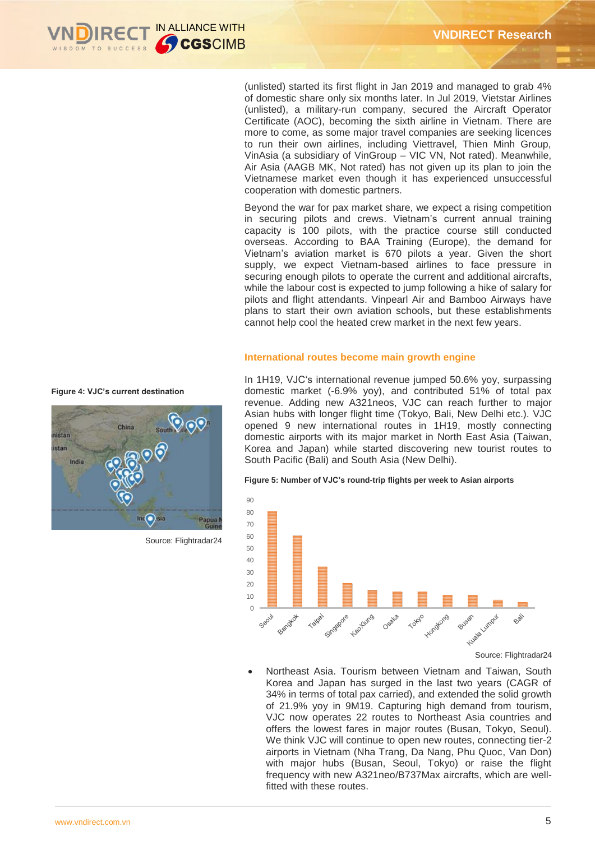

(unlisted) started its first flight in Jan 2019 and managed to grab 4% of domestic share only six months later. In Jul 2019, Vietstar Airlines (unlisted), a military-run company, secured the Aircraft Operator Certificate (AOC), becoming the sixth airline in Vietnam. There are more to come, as some major travel companies are seeking licences to run their own airlines, including Viettravel, Thien Minh Group, VinAsia (a subsidiary of VinGroup – VIC VN, Not rated). Meanwhile, Air Asia (AAGB MK, Not rated) has not given up its plan to join the Vietnamese market even though it has experienced unsuccessful cooperation with domestic partners.

Beyond the war for pax market share, we expect a rising competition in securing pilots and crews. Vietnam's current annual training capacity is 100 pilots, with the practice course still conducted overseas. According to BAA Training (Europe), the demand for Vietnam's aviation market is 670 pilots a year. Given the short supply, we expect Vietnam-based airlines to face pressure in securing enough pilots to operate the current and additional aircrafts, while the labour cost is expected to jump following a hike of salary for pilots and flight attendants. Vinpearl Air and Bamboo Airways have plans to start their own aviation schools, but these establishments cannot help cool the heated crew market in the next few years.

# **International routes become main growth engine**

In 1H19, VJC's international revenue jumped 50.6% yoy, surpassing domestic market (-6.9% yoy), and contributed 51% of total pax revenue. Adding new A321neos, VJC can reach further to major Asian hubs with longer flight time (Tokyo, Bali, New Delhi etc.). VJC opened 9 new international routes in 1H19, mostly connecting domestic airports with its major market in North East Asia (Taiwan, Korea and Japan) while started discovering new tourist routes to South Pacific (Bali) and South Asia (New Delhi).

#### **Figure 5: Number of VJC's round-trip flights per week to Asian airports**



Source: Flightradar24

 Northeast Asia. Tourism between Vietnam and Taiwan, South Korea and Japan has surged in the last two years (CAGR of 34% in terms of total pax carried), and extended the solid growth of 21.9% yoy in 9M19. Capturing high demand from tourism, VJC now operates 22 routes to Northeast Asia countries and offers the lowest fares in major routes (Busan, Tokyo, Seoul). We think VJC will continue to open new routes, connecting tier-2 airports in Vietnam (Nha Trang, Da Nang, Phu Quoc, Van Don) with major hubs (Busan, Seoul, Tokyo) or raise the flight frequency with new A321neo/B737Max aircrafts, which are wellfitted with these routes

#### **Figure 4: VJC's current destination**



Source: Flightradar24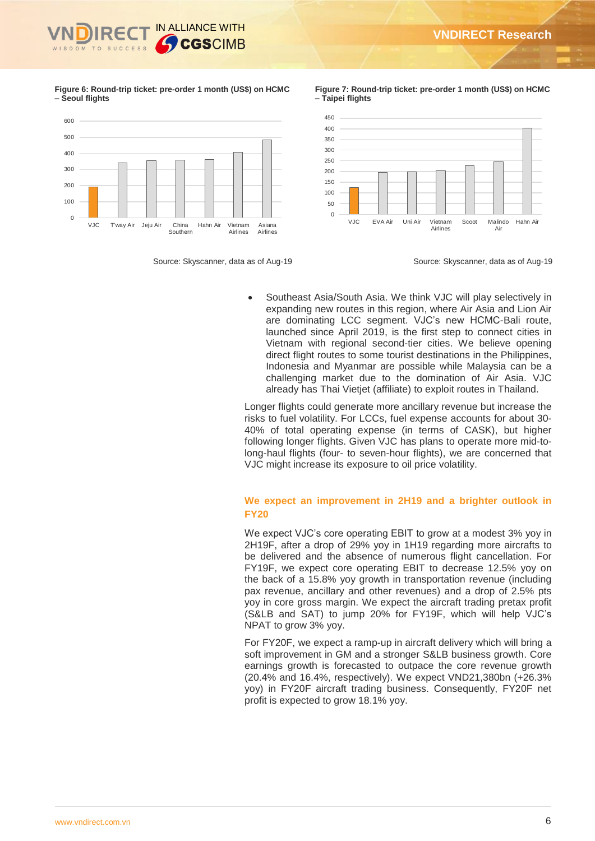

**Figure 6: Round-trip ticket: pre-order 1 month (US\$) on HCMC – Seoul flights**



Source: Skyscanner, data as of Aug-19 Source: Skyscanner, data as of Aug-19

**Figure 7: Round-trip ticket: pre-order 1 month (US\$) on HCMC – Taipei flights**



 Southeast Asia/South Asia. We think VJC will play selectively in expanding new routes in this region, where Air Asia and Lion Air are dominating LCC segment. VJC's new HCMC-Bali route, launched since April 2019, is the first step to connect cities in Vietnam with regional second-tier cities. We believe opening direct flight routes to some tourist destinations in the Philippines, Indonesia and Myanmar are possible while Malaysia can be a challenging market due to the domination of Air Asia. VJC already has Thai Vietjet (affiliate) to exploit routes in Thailand.

Longer flights could generate more ancillary revenue but increase the risks to fuel volatility. For LCCs, fuel expense accounts for about 30- 40% of total operating expense (in terms of CASK), but higher following longer flights. Given VJC has plans to operate more mid-tolong-haul flights (four- to seven-hour flights), we are concerned that VJC might increase its exposure to oil price volatility.

# **We expect an improvement in 2H19 and a brighter outlook in FY20**

We expect VJC's core operating EBIT to grow at a modest 3% yoy in 2H19F, after a drop of 29% yoy in 1H19 regarding more aircrafts to be delivered and the absence of numerous flight cancellation. For FY19F, we expect core operating EBIT to decrease 12.5% yoy on the back of a 15.8% yoy growth in transportation revenue (including pax revenue, ancillary and other revenues) and a drop of 2.5% pts yoy in core gross margin. We expect the aircraft trading pretax profit (S&LB and SAT) to jump 20% for FY19F, which will help VJC's NPAT to grow 3% yoy.

For FY20F, we expect a ramp-up in aircraft delivery which will bring a soft improvement in GM and a stronger S&LB business growth. Core earnings growth is forecasted to outpace the core revenue growth (20.4% and 16.4%, respectively). We expect VND21,380bn (+26.3% yoy) in FY20F aircraft trading business. Consequently, FY20F net profit is expected to grow 18.1% yoy.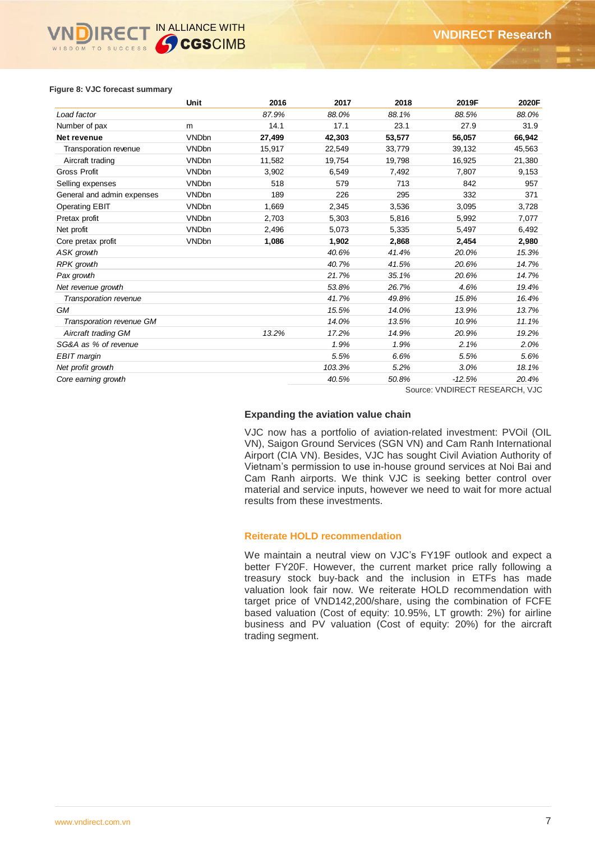# **IRECT IN ALLIANCE WITH** WISDOM TO SUCCESS

#### **Figure 8: VJC forecast summary**

|                            | Unit         | 2016   | 2017   | 2018   | 2019F    | 2020F  |
|----------------------------|--------------|--------|--------|--------|----------|--------|
| Load factor                |              | 87.9%  | 88.0%  | 88.1%  | 88.5%    | 88.0%  |
| Number of pax              | m            | 14.1   | 17.1   | 23.1   | 27.9     | 31.9   |
| Net revenue                | <b>VNDbn</b> | 27,499 | 42,303 | 53,577 | 56,057   | 66,942 |
| Transporation revenue      | <b>VNDbn</b> | 15,917 | 22,549 | 33,779 | 39,132   | 45,563 |
| Aircraft trading           | <b>VNDbn</b> | 11,582 | 19,754 | 19,798 | 16,925   | 21,380 |
| <b>Gross Profit</b>        | <b>VNDbn</b> | 3,902  | 6,549  | 7,492  | 7,807    | 9,153  |
| Selling expenses           | <b>VNDbn</b> | 518    | 579    | 713    | 842      | 957    |
| General and admin expenses | <b>VNDbn</b> | 189    | 226    | 295    | 332      | 371    |
| <b>Operating EBIT</b>      | <b>VNDbn</b> | 1,669  | 2,345  | 3,536  | 3,095    | 3,728  |
| Pretax profit              | <b>VNDbn</b> | 2,703  | 5,303  | 5,816  | 5,992    | 7,077  |
| Net profit                 | <b>VNDbn</b> | 2,496  | 5,073  | 5,335  | 5,497    | 6,492  |
| Core pretax profit         | <b>VNDbn</b> | 1,086  | 1,902  | 2,868  | 2,454    | 2,980  |
| ASK growth                 |              |        | 40.6%  | 41.4%  | 20.0%    | 15.3%  |
| RPK growth                 |              |        | 40.7%  | 41.5%  | 20.6%    | 14.7%  |
| Pax growth                 |              |        | 21.7%  | 35.1%  | 20.6%    | 14.7%  |
| Net revenue growth         |              |        | 53.8%  | 26.7%  | 4.6%     | 19.4%  |
| Transporation revenue      |              |        | 41.7%  | 49.8%  | 15.8%    | 16.4%  |
| GМ                         |              |        | 15.5%  | 14.0%  | 13.9%    | 13.7%  |
| Transporation revenue GM   |              |        | 14.0%  | 13.5%  | 10.9%    | 11.1%  |
| Aircraft trading GM        |              | 13.2%  | 17.2%  | 14.9%  | 20.9%    | 19.2%  |
| SG&A as % of revenue       |              |        | 1.9%   | 1.9%   | 2.1%     | 2.0%   |
| EBIT margin                |              |        | 5.5%   | 6.6%   | 5.5%     | 5.6%   |
| Net profit growth          |              |        | 103.3% | 5.2%   | 3.0%     | 18.1%  |
| Core earning growth        |              |        | 40.5%  | 50.8%  | $-12.5%$ | 20.4%  |

Source: VNDIRECT RESEARCH, VJC

# **Expanding the aviation value chain**

VJC now has a portfolio of aviation-related investment: PVOil (OIL VN), Saigon Ground Services (SGN VN) and Cam Ranh International Airport (CIA VN). Besides, VJC has sought Civil Aviation Authority of Vietnam's permission to use in-house ground services at Noi Bai and Cam Ranh airports. We think VJC is seeking better control over material and service inputs, however we need to wait for more actual results from these investments.

#### **Reiterate HOLD recommendation**

We maintain a neutral view on VJC's FY19F outlook and expect a better FY20F. However, the current market price rally following a treasury stock buy-back and the inclusion in ETFs has made valuation look fair now. We reiterate HOLD recommendation with target price of VND142,200/share, using the combination of FCFE based valuation (Cost of equity: 10.95%, LT growth: 2%) for airline business and PV valuation (Cost of equity: 20%) for the aircraft trading segment.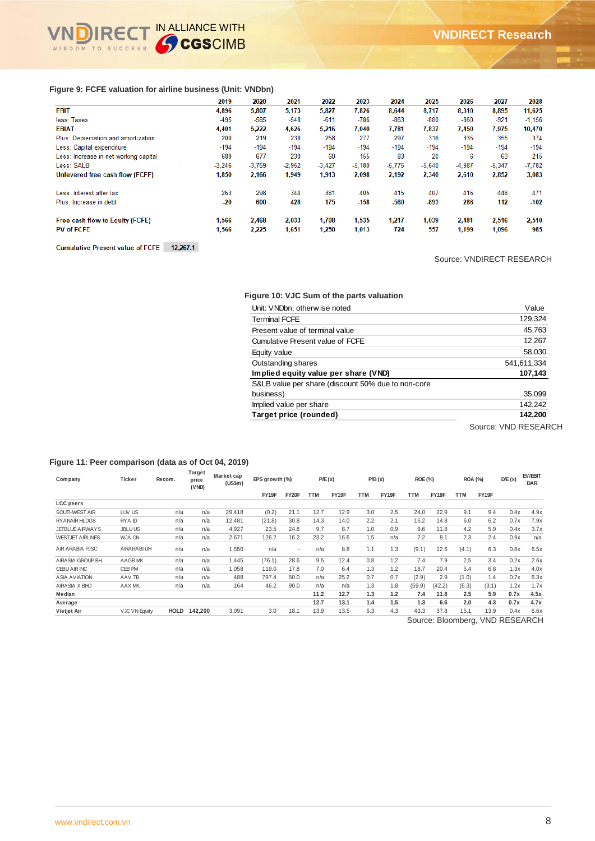## **Figure 9: FCFE valuation for airline business (Unit: VNDbn)**

|                                       | 2019     | 2020     | 2021     | 2022     | 2023     | 2024     | 2025     | 2026     | 2027     | 2028     |
|---------------------------------------|----------|----------|----------|----------|----------|----------|----------|----------|----------|----------|
| <b>EBIT</b>                           | 4.896    | 5,807    | 5.173    | 5.827    | 7.826    | 8.644    | 8.717    | 8,310    | 8.895    | 11,625   |
| less: Taxes                           | -495     | -585     | -548     | $-611$   | -786     | $-863$   | $-880$   | $-860$   | $-921$   | $-1,156$ |
| <b>EBIAT</b>                          | 4,401    | 5,222    | 4,626    | 5,216    | 7.040    | 7.781    | 7.837    | 7.450    | 7,975    | 10,470   |
| Plus: Depreciation and amortization   | 200      | 219      | 238      | 258      | 277      | 297      | 316      | 335      | 355      | 374      |
| Less: Capital expenditure             | $-194$   | $-194$   | $-194$   | $-194$   | $-194$   | $-194$   | $-194$   | $-194$   | $-194$   | $-194$   |
| Less: Increase in net working capital | 689      | 677      | 230      | 60       | 155      | 83       | 20       | 6        | 63       | 215      |
| Less: SALB                            | $-3.246$ | $-3.759$ | $-2,952$ | $-3.427$ | $-5.180$ | $-5.775$ | $-5.640$ | $-4.987$ | $-5,347$ | $-7,782$ |
| Unlevered free cash flow (FCFF)       | 1,850    | 2,166    | 1,949    | 1,913    | 2,098    | 2,192    | 2,340    | 2,610    | 2,852    | 3,083    |
| Less: Interest after tax              | 263      | 298      | 344      | 381      | 405      | 415      | 407      | 416      | 448      | 471      |
| Plus: Increase in debt                | $-20$    | 600      | 428      | 175      | $-158$   | $-560$   | $-893$   | 286      | 112      | $-102$   |
| Free cash flow to Equity (FCFE)       | 1.566    | 2.468    | 2.033    | 1.708    | 1.535    | 1.217    | 1.039    | 2.481    | 2.516    | 2,510    |
| <b>PV of FCFE</b>                     | 1,566    | 2,225    | 1,651    | 1,250    | 1,013    | 724      | 557      | 1,199    | 1,096    | 985      |

**Cumulative Present value of FCFE** 12,267.1

Source: VNDIRECT RESEARCH

#### **Figure 10: VJC Sum of the parts valuation**

| Unit: VNDbn, otherwise noted                       | Value       |
|----------------------------------------------------|-------------|
| <b>Terminal FCFE</b>                               | 129,324     |
| Present value of terminal value                    | 45,763      |
| Cumulative Present value of FCFE                   | 12,267      |
| Equity value                                       | 58,030      |
| Outstanding shares                                 | 541,611,334 |
| Implied equity value per share (VND)               | 107,143     |
| S&LB value per share (discount 50% due to non-core |             |
| business)                                          | 35,099      |
| Implied value per share                            | 142.242     |
| Target price (rounded)                             | 142,200     |

Source: VND RESEARCH

### **Figure 11: Peer comparison (data as of Oct 04, 2019)**

| Company                 | Ticker               | Recom.      | Target<br>price<br>(VND) | Market cap<br>(US\$m) | EPS growth (%) |       | P/E(x)     |       |            | P/B(x) | <b>ROE (%)</b>           |        | <b>ROA (%)</b> |       | D/E(x)           | EV/EBIT<br><b>DAR</b> |
|-------------------------|----------------------|-------------|--------------------------|-----------------------|----------------|-------|------------|-------|------------|--------|--------------------------|--------|----------------|-------|------------------|-----------------------|
|                         |                      |             |                          |                       | FY19F          | FY20F | <b>TTM</b> | FY19F | <b>TTM</b> | FY19F  | <b>TTM</b>               | FY19F  | <b>TTM</b>     | FY19F |                  |                       |
| <b>LCC</b> peers        |                      |             |                          |                       |                |       |            |       |            |        |                          |        |                |       |                  |                       |
| SOUTHWEST AIR           | LUV US               | n/a         | n/a                      | 29.418                | (0.2)          | 21.1  | 12.7       | 12.9  | 3.0        | 2.5    | 24.0                     | 22.9   | 9.1            | 9.4   | 0.4x             | 4.9x                  |
| <b>RYANAIR HLDGS</b>    | RYA ID               | n/a         | n/a                      | 12.481                | (21.8)         | 30.8  | 14.3       | 14.0  | 2.2        | 2.1    | 16.2                     | 14.8   | 6.0            | 6.2   | 0.7x             | 7.9x                  |
| <b>JETBLUE AIRWAYS</b>  | <b>JBLUUS</b>        | n/a         | n/a                      | 4,927                 | 23.5           | 24.8  | 9.7        | 8.7   | 1.0        | 0.9    | 9.6                      | 11.8   | 4.2            | 5.9   | 0.4x             | 3.7x                  |
| <b>WESTJET AIRLINES</b> | WJA CN               | n/a         | n/a                      | 2.671                 | 126.2          | 16.2  | 23.2       | 16.6  | 1.5        | n/a    | 7.2                      | 8.1    | 2.3            | 2.4   | 0.9x             | n/a                   |
| AIR ARABIA PJSC         | AIRARABI UH          | n/a         | n/a                      | 1,550                 | n/a            | ٠     | n/a        | 8.8   | 1.1        | 1.3    | (9.1)                    | 12.6   | (4.1)          | 6.3   | 0.8x             | 6.5x                  |
| AIRASIA GROUP BH        | AAGB MK              | n/a         | n/a                      | 1.445                 | (76.1)         | 28.6  | 9.5        | 12.4  | 0.8        | 1.2    | 7.4                      | 7.9    | 2.5            | 3.4   | 0.2x             | 2.6x                  |
| <b>CEBU AIR INC</b>     | CEB PM               | n/a         | n/a                      | 1.058                 | 119.0          | 17.8  | 7.0        | 6.4   | 1.3        | 1.2    | 18.7                     | 20.4   | 5.4            | 6.8   | 1.3x             | 4.0x                  |
| <b>ASIA AVIATION</b>    | AAV TB               | n/a         | n/a                      | 488                   | 797.4          | 50.0  | n/a        | 25.2  | 0.7        | 0.7    | (2.9)                    | 2.9    | (1.0)          | 1.4   | 0.7x             | 6.3x                  |
| AIRASIA X BHD           | AAX MK               | n/a         | n/a                      | 164                   | 46.2           | 90.0  | n/a        | n/a   | 1.3        | 1.8    | (59.9)                   | (42.2) | (6.3)          | (3.1) | 1.2x             | 1.7x                  |
| Median                  |                      |             |                          |                       |                |       | 11.2       | 12.7  | 1.3        | 1.2    | 7.4                      | 11.8   | 2.5            | 5.9   | 0.7x             | 4.5x                  |
| Average                 |                      |             |                          |                       |                |       | 12.7       | 13.1  | 1.4        | 1.5    | 1.3                      | 6.6    | 2.0            | 4.3   | 0.7x             | 4.7x                  |
| <b>Vietjet Air</b>      | <b>VJC VN Equity</b> | <b>HOLD</b> | 142,200                  | 3,091                 | 3.0            | 18.1  | 13.9       | 13.5  | 5.3        | 4.3    | 43.3                     | 37.8   | 15.1           | 13.9  | 0.4x             | 6.6x                  |
|                         |                      |             |                          |                       |                |       |            |       |            |        | $\overline{\phantom{0}}$ | - -    |                |       | $1.1.17 - 7.7.7$ | $\sim$ $\sim$ $\cdot$ |

Source: Bloomberg, VND RESEARCH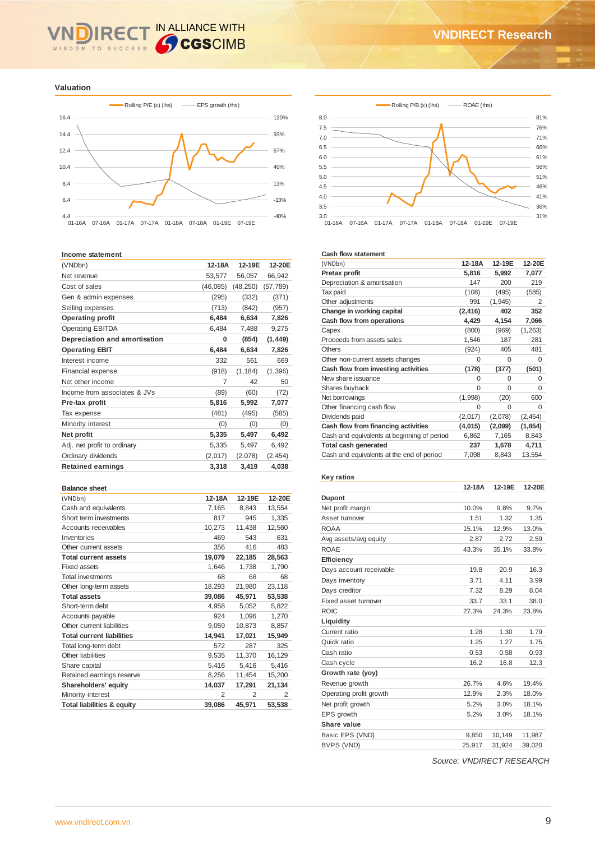# IN ALLIANCE WITH **IRE** WISDOM TO SUCCESS

**Valuation**



#### **Income statement**

| (VNDbn)                       | 12-18A    | 12-19E    | 12-20E    |
|-------------------------------|-----------|-----------|-----------|
| Net revenue                   | 53,577    | 56,057    | 66,942    |
| Cost of sales                 | (46, 085) | (48, 250) | (57, 789) |
| Gen & admin expenses          | (295)     | (332)     | (371)     |
| Selling expenses              | (713)     | (842)     | (957)     |
| <b>Operating profit</b>       | 6,484     | 6,634     | 7,826     |
| <b>Operating EBITDA</b>       | 6,484     | 7,488     | 9,275     |
| Depreciation and amortisation | 0         | (854)     | (1, 449)  |
| <b>Operating EBIT</b>         | 6,484     | 6,634     | 7,826     |
| Interest income               | 332       | 561       | 669       |
| <b>Financial expense</b>      | (918)     | (1, 184)  | (1, 396)  |
| Net other income              | 7         | 42        | 50        |
| Income from associates & JVs  | (89)      | (60)      | (72)      |
| Pre-tax profit                | 5,816     | 5,992     | 7,077     |
| Tax expense                   | (481)     | (495)     | (585)     |
| Minority interest             | (0)       | (0)       | (0)       |
| Net profit                    | 5,335     | 5,497     | 6,492     |
| Adj. net profit to ordinary   | 5,335     | 5,497     | 6,492     |
| Ordinary dividends            | (2,017)   | (2,078)   | (2, 454)  |
| <b>Retained earnings</b>      | 3,318     | 3,419     | 4,038     |
|                               |           |           |           |

#### **Balance sheet**

| (VNDbn)                               | 12-18A | 12-19E | 12-20E |
|---------------------------------------|--------|--------|--------|
| Cash and equivalents                  | 7,165  | 8,843  | 13,554 |
| Short term investments                | 817    | 945    | 1,335  |
| Accounts receivables                  | 10,273 | 11,438 | 12,560 |
| Inventories                           | 469    | 543    | 631    |
| Other current assets                  | 356    | 416    | 483    |
| <b>Total current assets</b>           | 19,079 | 22,185 | 28,563 |
| <b>Fixed assets</b>                   | 1,646  | 1,738  | 1,790  |
| <b>Total investments</b>              | 68     | 68     | 68     |
| Other long-term assets                | 18,293 | 21,980 | 23,118 |
| <b>Total assets</b>                   | 39,086 | 45,971 | 53,538 |
| Short-term debt                       | 4,958  | 5,052  | 5,822  |
| Accounts payable                      | 924    | 1,096  | 1,270  |
| Other current liabilities             | 9,059  | 10,873 | 8,857  |
| <b>Total current liabilities</b>      | 14,941 | 17,021 | 15,949 |
| Total long-term debt                  | 572    | 287    | 325    |
| Other liabilities                     | 9,535  | 11,370 | 16,129 |
| Share capital                         | 5,416  | 5,416  | 5,416  |
| Retained earnings reserve             | 8,256  | 11,454 | 15,200 |
| Shareholders' equity                  | 14,037 | 17,291 | 21,134 |
| Minority interest                     | 2      | 2      | 2      |
| <b>Total liabilities &amp; equity</b> | 39,086 | 45,971 | 53,538 |





#### **Cash flow statement**

| Gash now statement                          |          |          |          |
|---------------------------------------------|----------|----------|----------|
| (VNDbn)                                     | 12-18A   | 12-19E   | 12-20E   |
| Pretax profit                               | 5,816    | 5,992    | 7,077    |
| Depreciation & amortisation                 | 147      | 200      | 219      |
| Tax paid                                    | (108)    | (495)    | (585)    |
| Other adjustments                           | 991      | (1, 945) | 2        |
| Change in working capital                   | (2, 416) | 402      | 352      |
| Cash flow from operations                   | 4,429    | 4,154    | 7,066    |
| Capex                                       | (800)    | (969)    | (1,263)  |
| Proceeds from assets sales                  | 1,546    | 187      | 281      |
| Others                                      | (924)    | 405      | 481      |
| Other non-current assets changes            | $\Omega$ | $\Omega$ | $\Omega$ |
| Cash flow from investing activities         | (178)    | (377)    | (501)    |
| New share issuance                          | $\Omega$ | $\Omega$ | $\Omega$ |
| Shares buyback                              | $\Omega$ | $\Omega$ | $\Omega$ |
| Net borrowings                              | (1,998)  | (20)     | 600      |
| Other financing cash flow                   | 0        | $\Omega$ | $\Omega$ |
| Dividends paid                              | (2,017)  | (2,078)  | (2, 454) |
| Cash flow from financing activities         | (4,015)  | (2,099)  | (1, 854) |
| Cash and equivalents at beginning of period | 6,862    | 7,165    | 8,843    |
| <b>Total cash generated</b>                 | 237      | 1,678    | 4,711    |
| Cash and equivalents at the end of period   | 7,098    | 8,843    | 13,554   |

### **Key ratios**

|                         | 12-18A | 12-19E | 12-20E |
|-------------------------|--------|--------|--------|
| <b>Dupont</b>           |        |        |        |
| Net profit margin       | 10.0%  | 9.8%   | 9.7%   |
| Asset turnover          | 1.51   | 1.32   | 1.35   |
| <b>ROAA</b>             | 15.1%  | 12.9%  | 13.0%  |
| Avg assets/avg equity   | 2.87   | 2.72   | 2.59   |
| <b>ROAE</b>             | 43.3%  | 35.1%  | 33.8%  |
| Efficiency              |        |        |        |
| Days account receivable | 19.8   | 20.9   | 16.3   |
| Days inventory          | 3.71   | 4.11   | 3.99   |
| Days creditor           | 7.32   | 8.29   | 8.04   |
| Fixed asset turnover    | 33.7   | 33.1   | 38.0   |
| <b>ROIC</b>             | 27.3%  | 24.3%  | 23.8%  |
| Liquidity               |        |        |        |
| Current ratio           | 1.28   | 1.30   | 1.79   |
| Quick ratio             | 1.25   | 1.27   | 1.75   |
| Cash ratio              | 0.53   | 0.58   | 0.93   |
| Cash cycle              | 16.2   | 16.8   | 12.3   |
| Growth rate (yoy)       |        |        |        |
| Revenue growth          | 26.7%  | 4.6%   | 19.4%  |
| Operating profit growth | 12.9%  | 2.3%   | 18.0%  |
| Net profit growth       | 5.2%   | 3.0%   | 18.1%  |
| EPS growth              | 5.2%   | 3.0%   | 18.1%  |
| Share value             |        |        |        |
| Basic EPS (VND)         | 9,850  | 10,149 | 11,987 |
| BVPS (VND)              | 25,917 | 31,924 | 39,020 |

*Source: VNDIRECT RESEARCH*